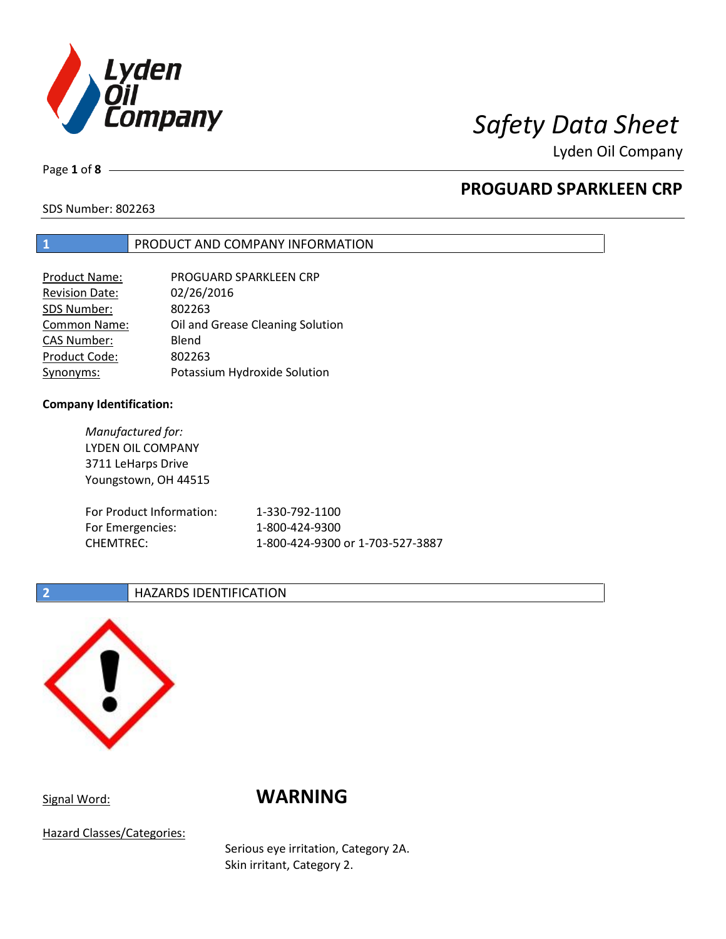

Lyden Oil Company

Page **1** of **8**

# **PROGUARD SPARKLEEN CRP**

SDS Number: 802263

## **1** PRODUCT AND COMPANY INFORMATION

| <b>Product Name:</b>  | PROGUARD SPARKLEEN CRP           |
|-----------------------|----------------------------------|
| <b>Revision Date:</b> | 02/26/2016                       |
| SDS Number:           | 802263                           |
| <b>Common Name:</b>   | Oil and Grease Cleaning Solution |
| <b>CAS Number:</b>    | Blend                            |
| Product Code:         | 802263                           |
| Synonyms:             | Potassium Hydroxide Solution     |

### **Company Identification:**

*Manufactured for:* LYDEN OIL COMPANY 3711 LeHarps Drive Youngstown, OH 44515 For Product Information: 1-330-792-1100 For Emergencies: 1-800-424-9300 CHEMTREC: 1-800-424-9300 or 1-703-527-3887

## **2 HAZARDS IDENTIFICATION**



# Signal Word: **WARNING**

Hazard Classes/Categories:

Serious eye irritation, Category 2A. Skin irritant, Category 2.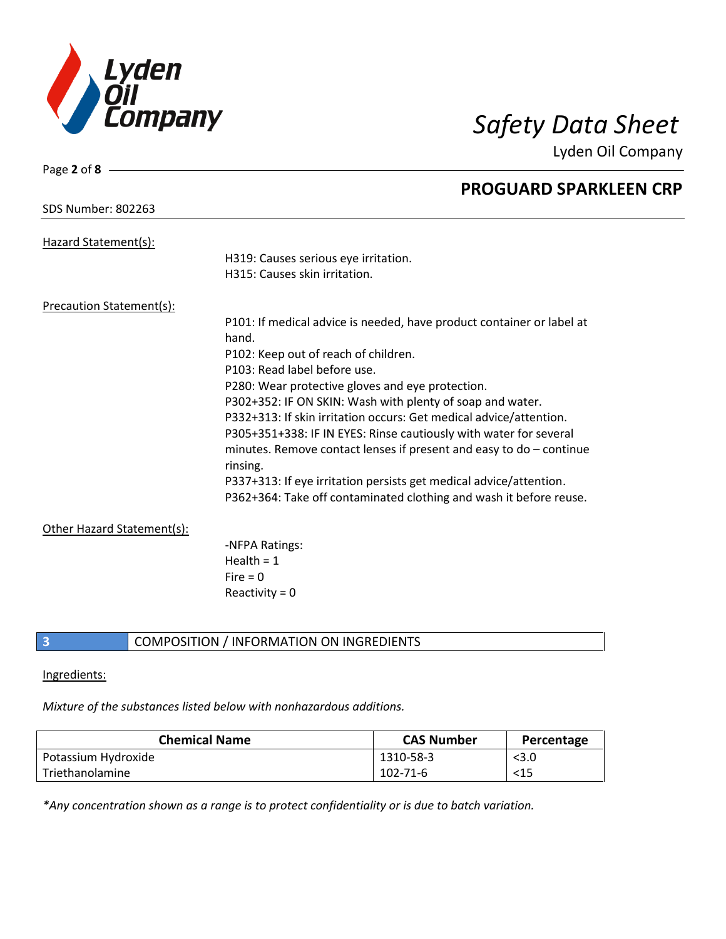

Lyden Oil Company

| Page 2 of 8 -                   |                                                                       |
|---------------------------------|-----------------------------------------------------------------------|
|                                 | <b>PROGUARD SPARKLEEN CRP</b>                                         |
| <b>SDS Number: 802263</b>       |                                                                       |
|                                 |                                                                       |
| Hazard Statement(s):            | H319: Causes serious eye irritation.                                  |
|                                 | H315: Causes skin irritation.                                         |
|                                 |                                                                       |
| <b>Precaution Statement(s):</b> |                                                                       |
|                                 | P101: If medical advice is needed, have product container or label at |
|                                 | hand.                                                                 |
|                                 | P102: Keep out of reach of children.                                  |
|                                 | P103: Read label before use.                                          |
|                                 | P280: Wear protective gloves and eye protection.                      |
|                                 | P302+352: IF ON SKIN: Wash with plenty of soap and water.             |
|                                 | P332+313: If skin irritation occurs: Get medical advice/attention.    |
|                                 | P305+351+338: IF IN EYES: Rinse cautiously with water for several     |
|                                 | minutes. Remove contact lenses if present and easy to $do$ – continue |
|                                 | rinsing.                                                              |
|                                 | P337+313: If eye irritation persists get medical advice/attention.    |
|                                 | P362+364: Take off contaminated clothing and wash it before reuse.    |
| Other Hazard Statement(s):      |                                                                       |
|                                 | -NFPA Ratings:                                                        |
|                                 | Health = $1$                                                          |
|                                 | Fire $= 0$                                                            |
|                                 | Reactivity = $0$                                                      |
|                                 |                                                                       |

## **3** COMPOSITION / INFORMATION ON INGREDIENTS

### Ingredients:

*Mixture of the substances listed below with nonhazardous additions.*

| <b>Chemical Name</b> | <b>CAS Number</b> | Percentage |
|----------------------|-------------------|------------|
| Potassium Hydroxide  | 1310-58-3         | $<$ 3.0    |
| l Triethanolamine    | 102-71-6          | $<$ 15     |

*\*Any concentration shown as a range is to protect confidentiality or is due to batch variation.*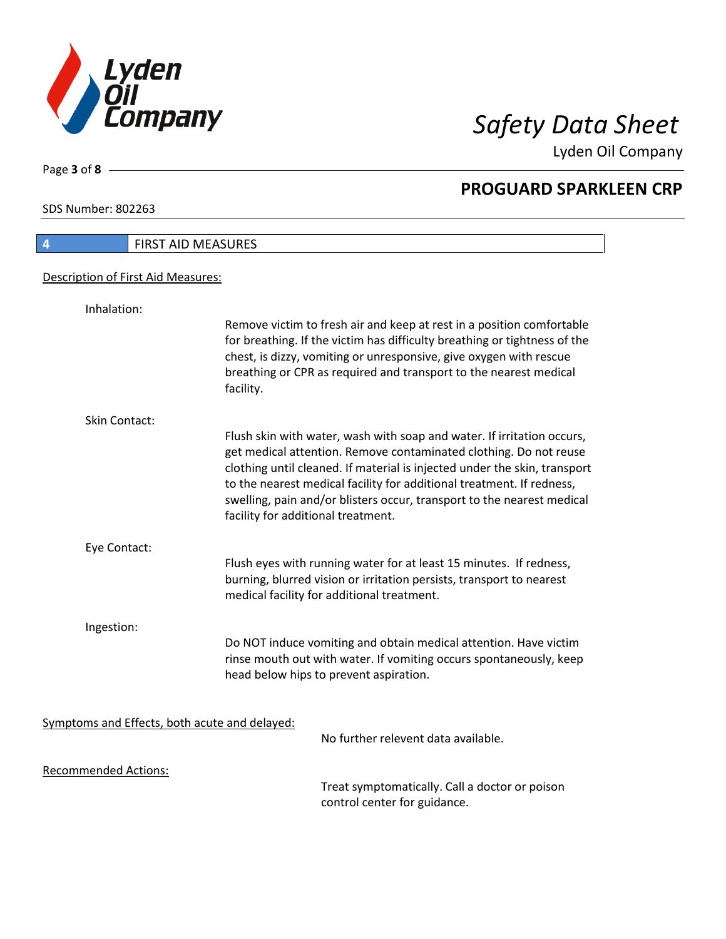

Lyden Oil Company

SDS Number: 802263

Page **3** of **8**

| 4                                             | FIRST AID MEASURES                                                                                                                                                                                                                                                                                                                                                                                                |
|-----------------------------------------------|-------------------------------------------------------------------------------------------------------------------------------------------------------------------------------------------------------------------------------------------------------------------------------------------------------------------------------------------------------------------------------------------------------------------|
| Description of First Aid Measures:            |                                                                                                                                                                                                                                                                                                                                                                                                                   |
| Inhalation:                                   |                                                                                                                                                                                                                                                                                                                                                                                                                   |
|                                               | Remove victim to fresh air and keep at rest in a position comfortable<br>for breathing. If the victim has difficulty breathing or tightness of the<br>chest, is dizzy, vomiting or unresponsive, give oxygen with rescue<br>breathing or CPR as required and transport to the nearest medical<br>facility.                                                                                                        |
| Skin Contact:                                 |                                                                                                                                                                                                                                                                                                                                                                                                                   |
|                                               | Flush skin with water, wash with soap and water. If irritation occurs,<br>get medical attention. Remove contaminated clothing. Do not reuse<br>clothing until cleaned. If material is injected under the skin, transport<br>to the nearest medical facility for additional treatment. If redness,<br>swelling, pain and/or blisters occur, transport to the nearest medical<br>facility for additional treatment. |
| Eye Contact:                                  |                                                                                                                                                                                                                                                                                                                                                                                                                   |
|                                               | Flush eyes with running water for at least 15 minutes. If redness,<br>burning, blurred vision or irritation persists, transport to nearest<br>medical facility for additional treatment.                                                                                                                                                                                                                          |
| Ingestion:                                    |                                                                                                                                                                                                                                                                                                                                                                                                                   |
|                                               | Do NOT induce vomiting and obtain medical attention. Have victim<br>rinse mouth out with water. If vomiting occurs spontaneously, keep<br>head below hips to prevent aspiration.                                                                                                                                                                                                                                  |
| Symptoms and Effects, both acute and delayed: |                                                                                                                                                                                                                                                                                                                                                                                                                   |
|                                               | No further relevent data available.                                                                                                                                                                                                                                                                                                                                                                               |
| <b>Recommended Actions:</b>                   |                                                                                                                                                                                                                                                                                                                                                                                                                   |
|                                               | Treat symptomatically. Call a doctor or poison                                                                                                                                                                                                                                                                                                                                                                    |

control center for guidance.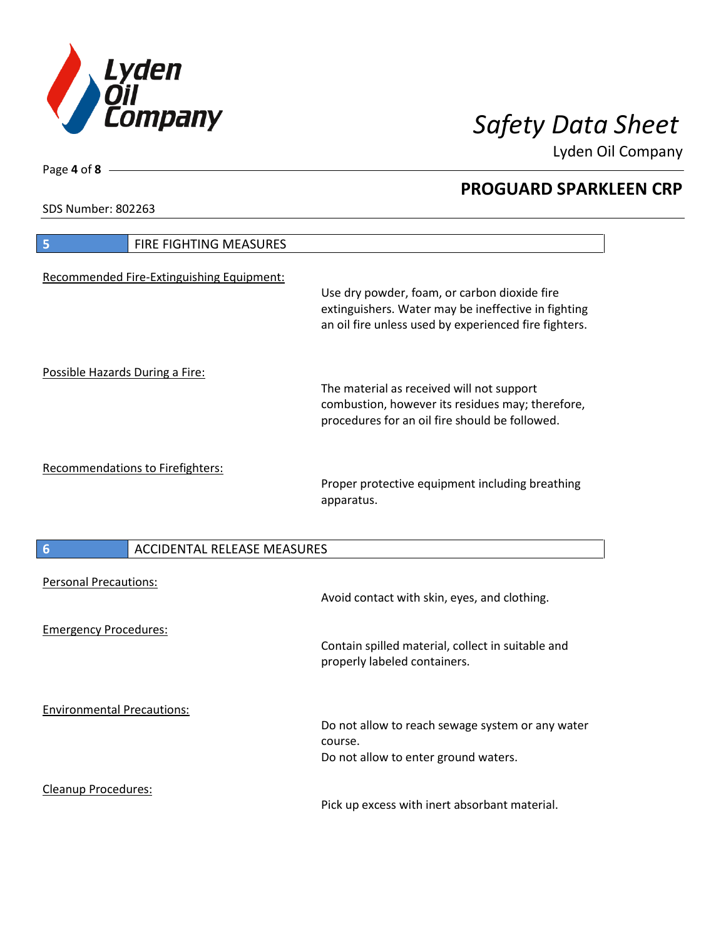

Lyden Oil Company

SDS Number: 802263

Cleanup Procedures:

| FIRE FIGHTING MEASURES<br>5                           |                                                                                                                                                              |
|-------------------------------------------------------|--------------------------------------------------------------------------------------------------------------------------------------------------------------|
| Recommended Fire-Extinguishing Equipment:             | Use dry powder, foam, or carbon dioxide fire<br>extinguishers. Water may be ineffective in fighting<br>an oil fire unless used by experienced fire fighters. |
| Possible Hazards During a Fire:                       | The material as received will not support<br>combustion, however its residues may; therefore,<br>procedures for an oil fire should be followed.              |
| Recommendations to Firefighters:                      | Proper protective equipment including breathing<br>apparatus.                                                                                                |
| <b>ACCIDENTAL RELEASE MEASURES</b><br>$6\phantom{1}6$ |                                                                                                                                                              |
| <b>Personal Precautions:</b>                          | Avoid contact with skin, eyes, and clothing.                                                                                                                 |
| <b>Emergency Procedures:</b>                          | Contain spilled material, collect in suitable and<br>properly labeled containers.                                                                            |
|                                                       |                                                                                                                                                              |

Pick up excess with inert absorbant material.

Page **4** of **8**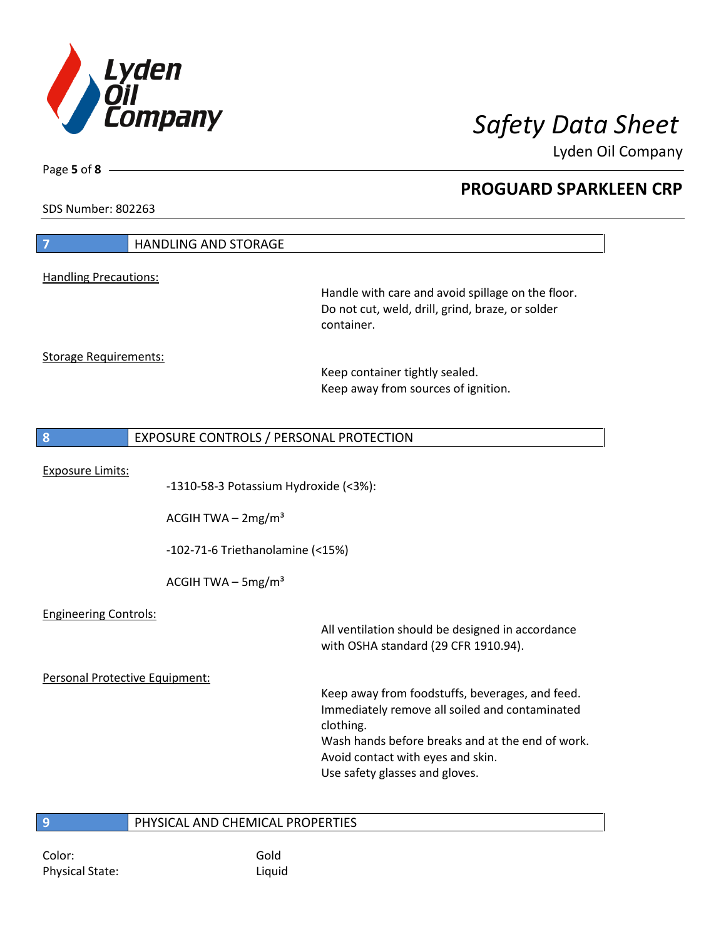

Lyden Oil Company

SDS Number: 802263

Page **5** of **8**

 $\overline{\phantom{a}}$ 

| $\overline{7}$                 | <b>HANDLING AND STORAGE</b>                                  |                                                                                                                                                                                                                                           |
|--------------------------------|--------------------------------------------------------------|-------------------------------------------------------------------------------------------------------------------------------------------------------------------------------------------------------------------------------------------|
| <b>Handling Precautions:</b>   |                                                              |                                                                                                                                                                                                                                           |
|                                |                                                              | Handle with care and avoid spillage on the floor.<br>Do not cut, weld, drill, grind, braze, or solder<br>container.                                                                                                                       |
| <b>Storage Requirements:</b>   |                                                              | Keep container tightly sealed.<br>Keep away from sources of ignition.                                                                                                                                                                     |
| 8                              | EXPOSURE CONTROLS / PERSONAL PROTECTION                      |                                                                                                                                                                                                                                           |
| <b>Exposure Limits:</b>        | -1310-58-3 Potassium Hydroxide (<3%):<br>ACGIH TWA $-2mg/m3$ |                                                                                                                                                                                                                                           |
|                                | -102-71-6 Triethanolamine (<15%)                             |                                                                                                                                                                                                                                           |
|                                | ACGIH TWA $-$ 5mg/m <sup>3</sup>                             |                                                                                                                                                                                                                                           |
| <b>Engineering Controls:</b>   |                                                              | All ventilation should be designed in accordance<br>with OSHA standard (29 CFR 1910.94).                                                                                                                                                  |
| Personal Protective Equipment: |                                                              |                                                                                                                                                                                                                                           |
|                                |                                                              | Keep away from foodstuffs, beverages, and feed.<br>Immediately remove all soiled and contaminated<br>clothing.<br>Wash hands before breaks and at the end of work.<br>Avoid contact with eyes and skin.<br>Use safety glasses and gloves. |
| 9                              | PHYSICAL AND CHEMICAL PROPERTIES                             |                                                                                                                                                                                                                                           |

Color: Gold Physical State: Liquid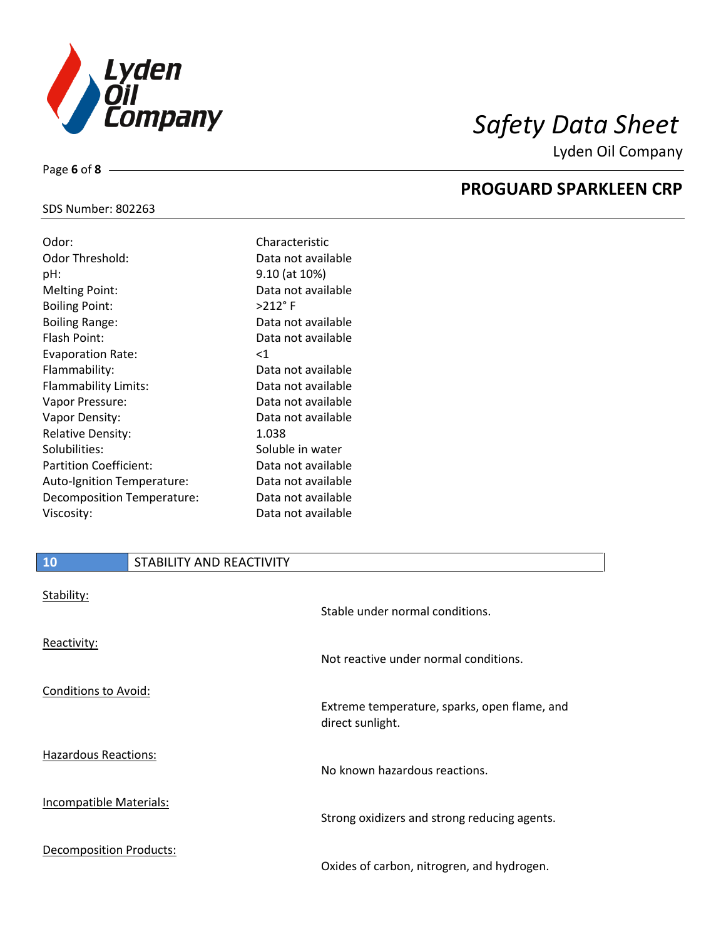

Lyden Oil Company

# SDS Number: 802263

Page **6** of **8**

| Odor:                         | Characteristic     |
|-------------------------------|--------------------|
| Odor Threshold:               | Data not available |
| pH:                           | 9.10 (at 10%)      |
| <b>Melting Point:</b>         | Data not available |
| <b>Boiling Point:</b>         | $>212$ °F          |
| <b>Boiling Range:</b>         | Data not available |
| Flash Point:                  | Data not available |
| <b>Evaporation Rate:</b>      | $<$ 1              |
| Flammability:                 | Data not available |
| Flammability Limits:          | Data not available |
| Vapor Pressure:               | Data not available |
| Vapor Density:                | Data not available |
| <b>Relative Density:</b>      | 1.038              |
| Solubilities:                 | Soluble in water   |
| <b>Partition Coefficient:</b> | Data not available |
| Auto-Ignition Temperature:    | Data not available |
| Decomposition Temperature:    | Data not available |
| Viscosity:                    | Data not available |

# **10** STABILITY AND REACTIVITY

| Stability:                  | Stable under normal conditions.                                  |
|-----------------------------|------------------------------------------------------------------|
| Reactivity:                 | Not reactive under normal conditions.                            |
| Conditions to Avoid:        | Extreme temperature, sparks, open flame, and<br>direct sunlight. |
| <b>Hazardous Reactions:</b> | No known hazardous reactions.                                    |
| Incompatible Materials:     | Strong oxidizers and strong reducing agents.                     |
| Decomposition Products:     | Oxides of carbon, nitrogren, and hydrogen.                       |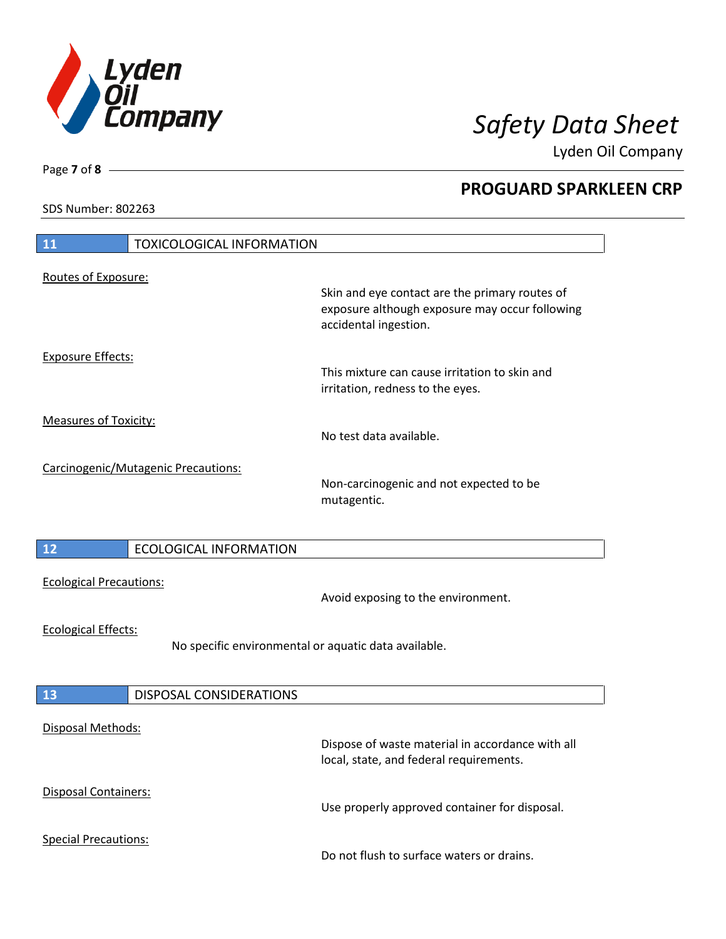

Lyden Oil Company

SDS Number: 802263

| <b>11</b><br><b>TOXICOLOGICAL INFORMATION</b>                                      |                                                                                                                           |
|------------------------------------------------------------------------------------|---------------------------------------------------------------------------------------------------------------------------|
| Routes of Exposure:                                                                | Skin and eye contact are the primary routes of<br>exposure although exposure may occur following<br>accidental ingestion. |
| <b>Exposure Effects:</b>                                                           | This mixture can cause irritation to skin and<br>irritation, redness to the eyes.                                         |
| <b>Measures of Toxicity:</b>                                                       | No test data available.                                                                                                   |
| Carcinogenic/Mutagenic Precautions:                                                | Non-carcinogenic and not expected to be<br>mutagentic.                                                                    |
| 12<br><b>ECOLOGICAL INFORMATION</b>                                                |                                                                                                                           |
| <b>Ecological Precautions:</b>                                                     | Avoid exposing to the environment.                                                                                        |
| <b>Ecological Effects:</b><br>No specific environmental or aquatic data available. |                                                                                                                           |
| 13<br>DISPOSAL CONSIDERATIONS                                                      |                                                                                                                           |
| <b>Disposal Methods:</b>                                                           | Dispose of waste material in accordance with all<br>local, state, and federal requirements.                               |
| <b>Disposal Containers:</b>                                                        | Use properly approved container for disposal.                                                                             |
| <b>Special Precautions:</b>                                                        | Do not flush to surface waters or drains.                                                                                 |

Page **7** of **8**